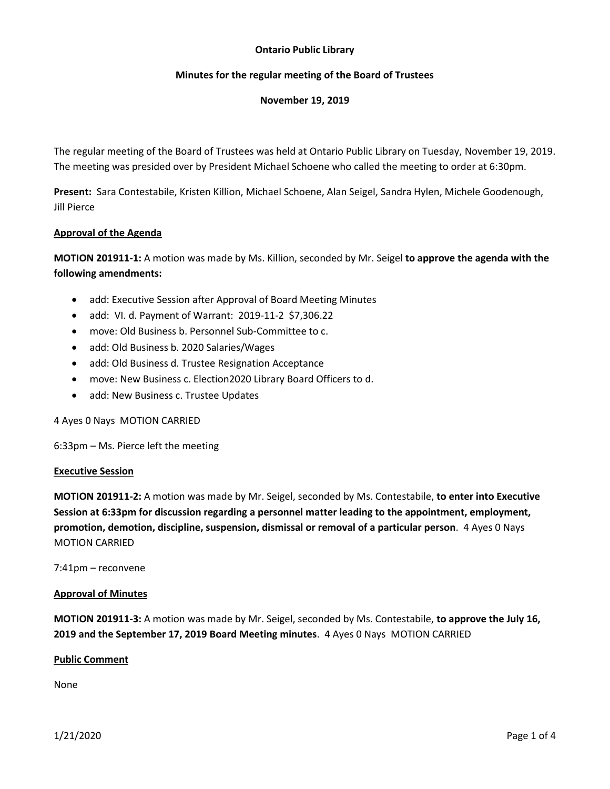# **Ontario Public Library**

# **Minutes for the regular meeting of the Board of Trustees**

## **November 19, 2019**

The regular meeting of the Board of Trustees was held at Ontario Public Library on Tuesday, November 19, 2019. The meeting was presided over by President Michael Schoene who called the meeting to order at 6:30pm.

**Present:** Sara Contestabile, Kristen Killion, Michael Schoene, Alan Seigel, Sandra Hylen, Michele Goodenough, Jill Pierce

# **Approval of the Agenda**

**MOTION 201911-1:** A motion was made by Ms. Killion, seconded by Mr. Seigel **to approve the agenda with the following amendments:**

- add: Executive Session after Approval of Board Meeting Minutes
- add: VI. d. Payment of Warrant: 2019-11-2 \$7,306.22
- move: Old Business b. Personnel Sub-Committee to c.
- add: Old Business b. 2020 Salaries/Wages
- add: Old Business d. Trustee Resignation Acceptance
- move: New Business c. Election2020 Library Board Officers to d.
- add: New Business c. Trustee Updates

4 Ayes 0 Nays MOTION CARRIED

6:33pm – Ms. Pierce left the meeting

## **Executive Session**

**MOTION 201911-2:** A motion was made by Mr. Seigel, seconded by Ms. Contestabile, **to enter into Executive Session at 6:33pm for discussion regarding a personnel matter leading to the appointment, employment, promotion, demotion, discipline, suspension, dismissal or removal of a particular person**. 4 Ayes 0 Nays MOTION CARRIED

7:41pm – reconvene

## **Approval of Minutes**

**MOTION 201911-3:** A motion was made by Mr. Seigel, seconded by Ms. Contestabile, **to approve the July 16, 2019 and the September 17, 2019 Board Meeting minutes**. 4 Ayes 0 Nays MOTION CARRIED

## **Public Comment**

None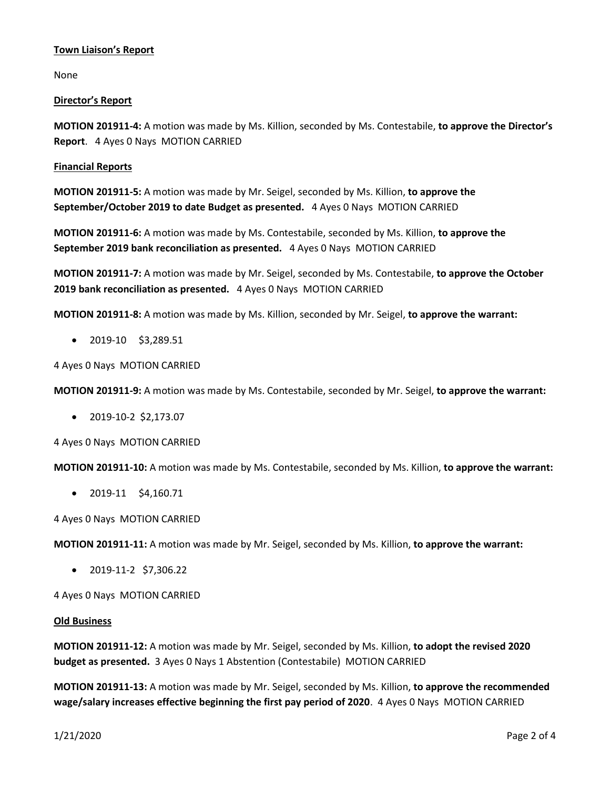# **Town Liaison's Report**

None

# **Director's Report**

**MOTION 201911-4:** A motion was made by Ms. Killion, seconded by Ms. Contestabile, **to approve the Director's Report**. 4 Ayes 0 Nays MOTION CARRIED

# **Financial Reports**

**MOTION 201911-5:** A motion was made by Mr. Seigel, seconded by Ms. Killion, **to approve the September/October 2019 to date Budget as presented.** 4 Ayes 0 Nays MOTION CARRIED

**MOTION 201911-6:** A motion was made by Ms. Contestabile, seconded by Ms. Killion, **to approve the September 2019 bank reconciliation as presented.** 4 Ayes 0 Nays MOTION CARRIED

**MOTION 201911-7:** A motion was made by Mr. Seigel, seconded by Ms. Contestabile, **to approve the October 2019 bank reconciliation as presented.** 4 Ayes 0 Nays MOTION CARRIED

**MOTION 201911-8:** A motion was made by Ms. Killion, seconded by Mr. Seigel, **to approve the warrant:**

• 2019-10 \$3,289.51

4 Ayes 0 Nays MOTION CARRIED

**MOTION 201911-9:** A motion was made by Ms. Contestabile, seconded by Mr. Seigel, **to approve the warrant:**

• 2019-10-2 \$2,173.07

4 Ayes 0 Nays MOTION CARRIED

**MOTION 201911-10:** A motion was made by Ms. Contestabile, seconded by Ms. Killion, **to approve the warrant:**

• 2019-11 \$4,160.71

4 Ayes 0 Nays MOTION CARRIED

**MOTION 201911-11:** A motion was made by Mr. Seigel, seconded by Ms. Killion, **to approve the warrant:**

• 2019-11-2 \$7,306.22

4 Ayes 0 Nays MOTION CARRIED

## **Old Business**

**MOTION 201911-12:** A motion was made by Mr. Seigel, seconded by Ms. Killion, **to adopt the revised 2020 budget as presented.** 3 Ayes 0 Nays 1 Abstention (Contestabile) MOTION CARRIED

**MOTION 201911-13:** A motion was made by Mr. Seigel, seconded by Ms. Killion, **to approve the recommended wage/salary increases effective beginning the first pay period of 2020**. 4 Ayes 0 Nays MOTION CARRIED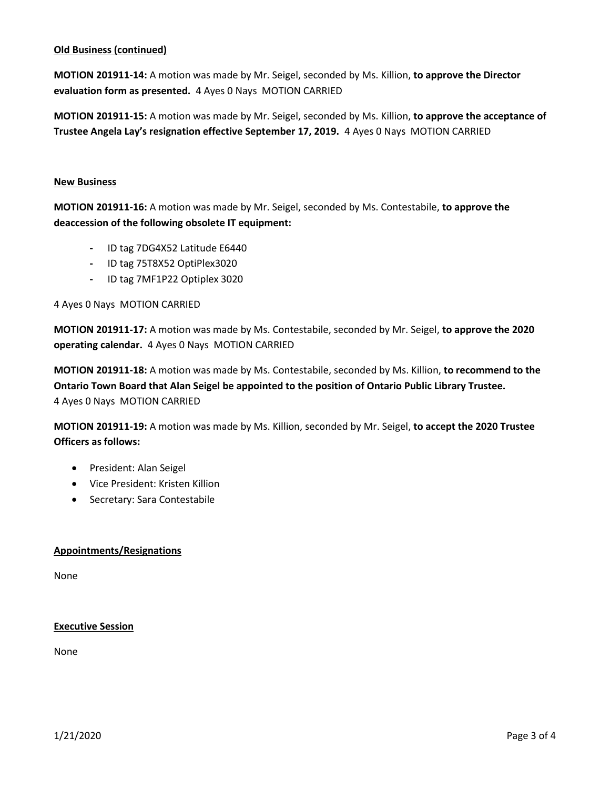# **Old Business (continued)**

**MOTION 201911-14:** A motion was made by Mr. Seigel, seconded by Ms. Killion, **to approve the Director evaluation form as presented.** 4 Ayes 0 Nays MOTION CARRIED

**MOTION 201911-15:** A motion was made by Mr. Seigel, seconded by Ms. Killion, **to approve the acceptance of Trustee Angela Lay's resignation effective September 17, 2019.** 4 Ayes 0 Nays MOTION CARRIED

## **New Business**

**MOTION 201911-16:** A motion was made by Mr. Seigel, seconded by Ms. Contestabile, **to approve the deaccession of the following obsolete IT equipment:**

- **-** ID tag 7DG4X52 Latitude E6440
- **-** ID tag 75T8X52 OptiPlex3020
- **-** ID tag 7MF1P22 Optiplex 3020

4 Ayes 0 Nays MOTION CARRIED

**MOTION 201911-17:** A motion was made by Ms. Contestabile, seconded by Mr. Seigel, **to approve the 2020 operating calendar.** 4 Ayes 0 Nays MOTION CARRIED

**MOTION 201911-18:** A motion was made by Ms. Contestabile, seconded by Ms. Killion, **to recommend to the Ontario Town Board that Alan Seigel be appointed to the position of Ontario Public Library Trustee.** 4 Ayes 0 Nays MOTION CARRIED

**MOTION 201911-19:** A motion was made by Ms. Killion, seconded by Mr. Seigel, **to accept the 2020 Trustee Officers as follows:**

- President: Alan Seigel
- Vice President: Kristen Killion
- Secretary: Sara Contestabile

## **Appointments/Resignations**

None

## **Executive Session**

None